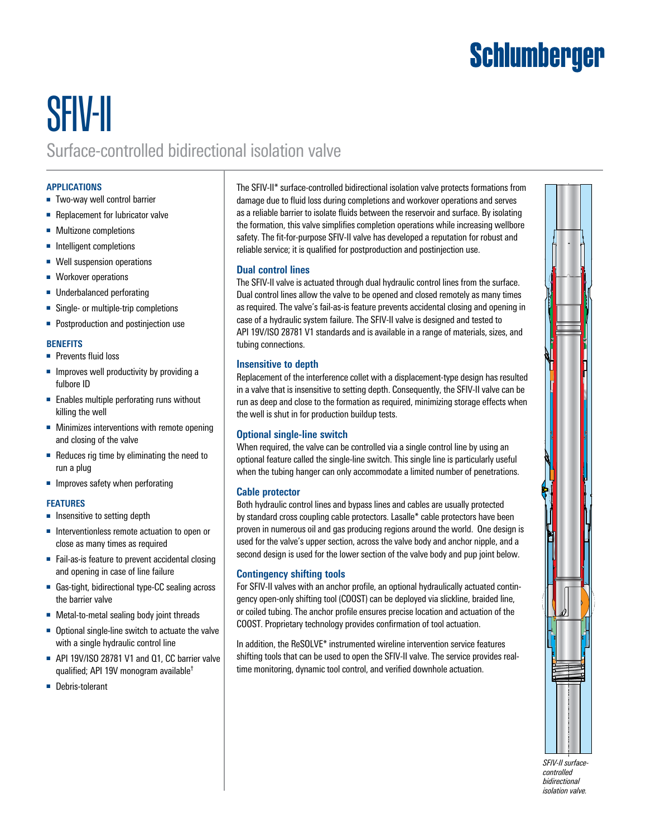# **Schlumberger**

# SFIV-II Surface-controlled bidirectional isolation valve

# **APPLICATIONS**

- Two-way well control barrier
- Replacement for lubricator valve
- Multizone completions
- Intelligent completions
- Well suspension operations
- Workover operations
- Underbalanced perforating
- Single- or multiple-trip completions
- Postproduction and postinjection use

# **BENEFITS**

- Prevents fluid loss
- Improves well productivity by providing a fulbore ID
- Enables multiple perforating runs without killing the well
- Minimizes interventions with remote opening and closing of the valve
- Reduces rig time by eliminating the need to run a plug
- Improves safety when perforating

# **FEATURES**

- Insensitive to setting depth
- Interventionless remote actuation to open or close as many times as required
- Fail-as-is feature to prevent accidental closing and opening in case of line failure
- Gas-tight, bidirectional type-CC sealing across the barrier valve
- Metal-to-metal sealing body joint threads
- Optional single-line switch to actuate the valve with a single hydraulic control line
- API 19V/ISO 28781 V1 and Q1, CC barrier valve qualified; API 19V monogram available†
- Debris-tolerant

The SFIV-II\* surface-controlled bidirectional isolation valve protects formations from damage due to fluid loss during completions and workover operations and serves as a reliable barrier to isolate fluids between the reservoir and surface. By isolating the formation, this valve simplifies completion operations while increasing wellbore safety. The fit-for-purpose SFIV-II valve has developed a reputation for robust and reliable service; it is qualified for postproduction and postinjection use.

#### **Dual control lines**

The SFIV-II valve is actuated through dual hydraulic control lines from the surface. Dual control lines allow the valve to be opened and closed remotely as many times as required. The valve's fail-as-is feature prevents accidental closing and opening in case of a hydraulic system failure. The SFIV-II valve is designed and tested to API 19V/ISO 28781 V1 standards and is available in a range of materials, sizes, and tubing connections.

#### **Insensitive to depth**

Replacement of the interference collet with a displacement-type design has resulted in a valve that is insensitive to setting depth. Consequently, the SFIV-II valve can be run as deep and close to the formation as required, minimizing storage effects when the well is shut in for production buildup tests.

# **Optional single-line switch**

When required, the valve can be controlled via a single control line by using an optional feature called the single-line switch. This single line is particularly useful when the tubing hanger can only accommodate a limited number of penetrations.

# **Cable protector**

Both hydraulic control lines and bypass lines and cables are usually protected by standard cross coupling cable protectors. Lasalle\* cable protectors have been proven in numerous oil and gas producing regions around the world. One design is used for the valve's upper section, across the valve body and anchor nipple, and a second design is used for the lower section of the valve body and pup joint below.

# **Contingency shifting tools**

For SFIV-II valves with an anchor profile, an optional hydraulically actuated contingency open-only shifting tool (COOST) can be deployed via slickline, braided line, or coiled tubing. The anchor profile ensures precise location and actuation of the COOST. Proprietary technology provides confirmation of tool actuation.

In addition, the ReSOLVE\* instrumented wireline intervention service features shifting tools that can be used to open the SFIV-II valve. The service provides realtime monitoring, dynamic tool control, and verified downhole actuation.



*SFIV-II surfacecontrolled bidirectional isolation valve.*